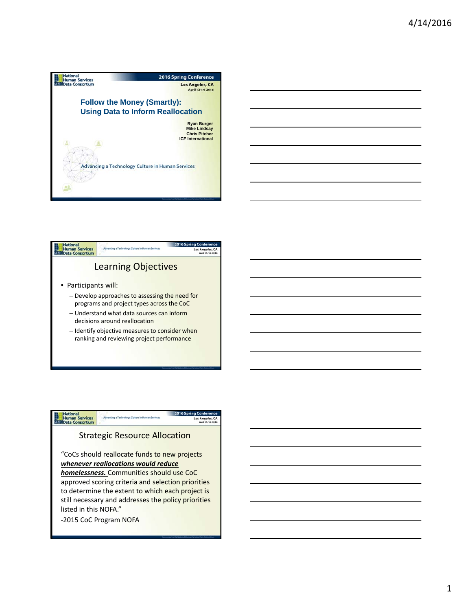



### **National**<br>Human Services<br>Nata Data Consortium ng Co Los Angeles, CA Strategic Resource Allocation "CoCs should reallocate funds to new projects *whenever reallocations would reduce homelessness.* Communities should use CoC approved scoring criteria and selection priorities to determine the extent to which each project is still necessary and addresses the policy priorities listed in this NOFA."

‐2015 CoC Program NOFA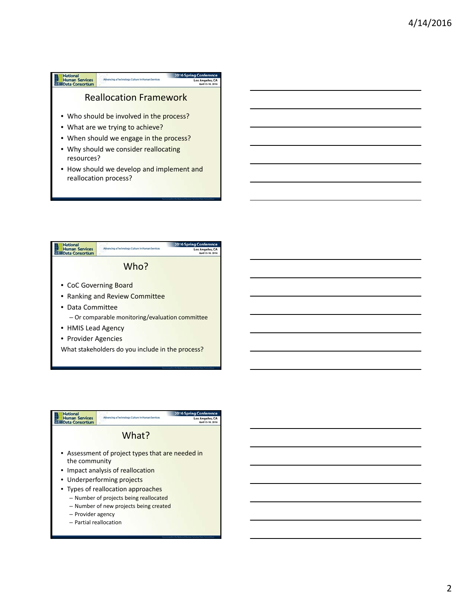



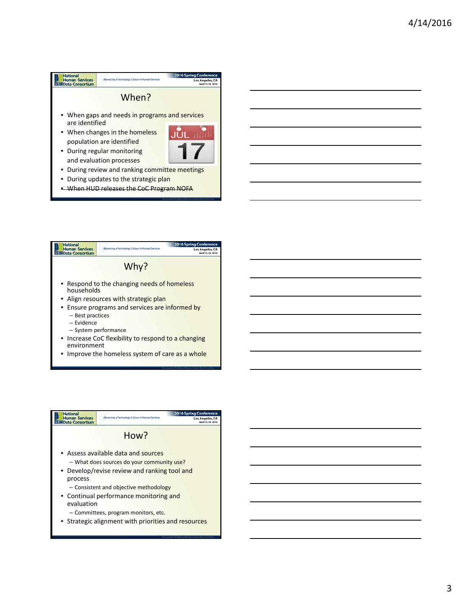#### **National**<br>
Human Services<br>
Nata Consortium 2016 Spr Advancing a Tech logy Culture in Human Services Los Ange When? • When gaps and needs in programs and services are identified • When changes in the homeless ЛŪ population are identified • During regular monitoring and evaluation processes • During review and ranking committee meetings • During updates to the strategic plan **• When HUD releases the CoC Program NOFA**

- **National**<br>Human Services<br>National Consortium ng Cor Los Angeles, CA<br>April 13-14, 2016 Why? • Respond to the changing needs of homeless households • Align resources with strategic plan • Ensure programs and services are informed by – Best practices – Evidence – System performance
	- Increase CoC flexibility to respond to a changing environment
	- Improve the homeless system of care as a whole

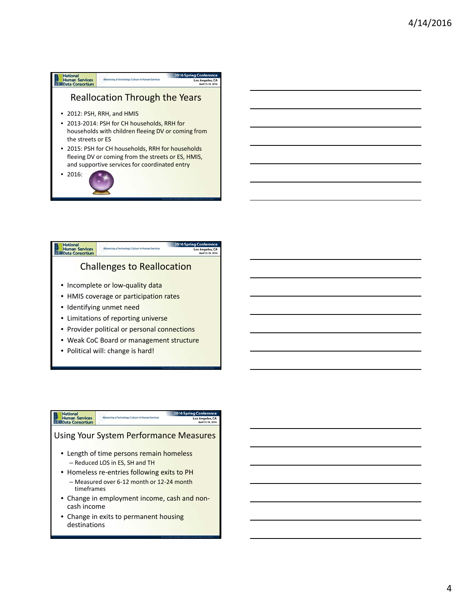# **National**<br>Human Services<br>National Consortium Los Ange Reallocation Through the Years • 2012: PSH, RRH, and HMIS

- 2013-2014: PSH for CH households, RRH for households with children fleeing DV or coming from the streets or ES
- 2015: PSH for CH households, RRH for households fleeing DV or coming from the streets or ES, HMIS, and supportive services for coordinated entry
- 2016:



• Political will: change is hard!

# **National**<br>Human Services<br>National Data Consortium Los Angeles, CA Using Your System Performance Measures • Length of time persons remain homeless – Reduced LOS in ES, SH and TH • Homeless re-entries following exits to PH – Measured over 6‐12 month or 12‐24 month timeframes

- Change in employment income, cash and noncash income
- Change in exits to permanent housing destinations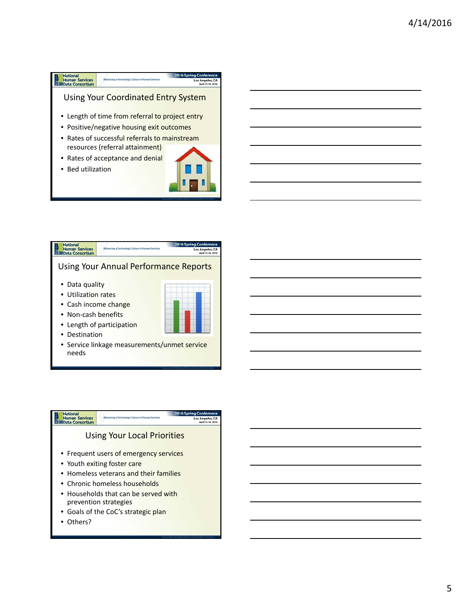



• Service linkage measurements/unmet service needs

## **National**<br>Human Services<br>Nata Data Consortium Los Angeles, C Using Your Local Priorities • Frequent users of emergency services • Youth exiting foster care • Homeless veterans and their families • Chronic homeless households • Households that can be served with prevention strategies • Goals of the CoC's strategic plan

• Others?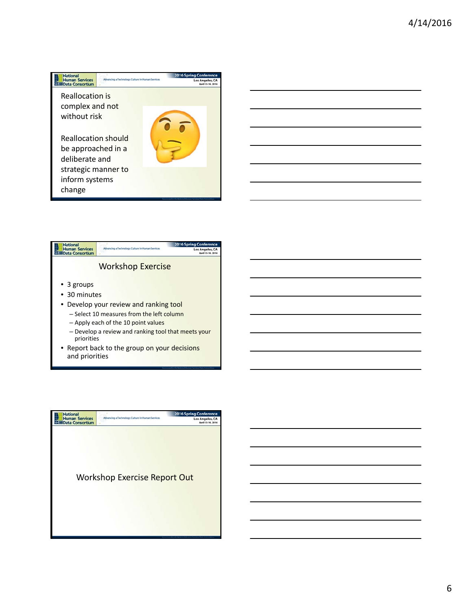







6